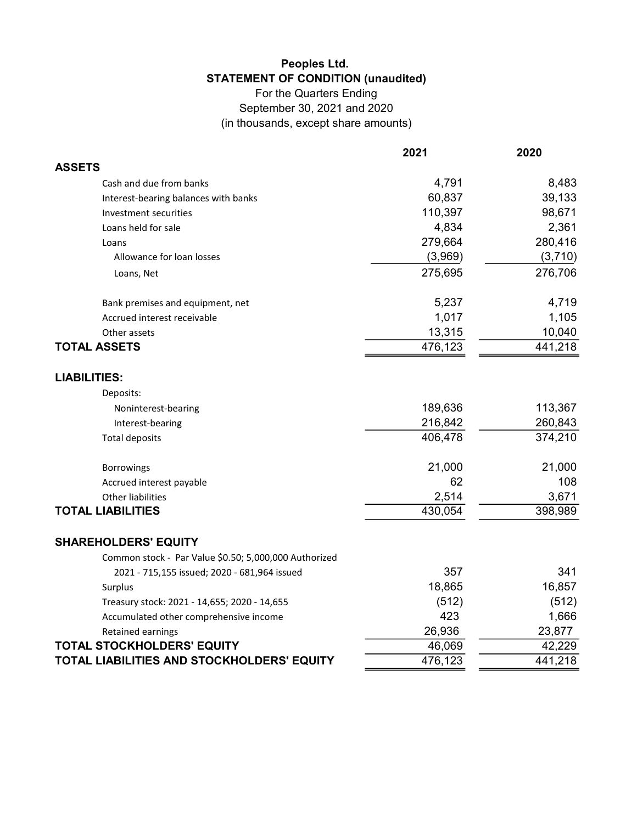## Peoples Ltd. STATEMENT OF CONDITION (unaudited)

For the Quarters Ending September 30, 2021 and 2020 (in thousands, except share amounts)

|                                                       | 2021    | 2020    |
|-------------------------------------------------------|---------|---------|
| <b>ASSETS</b>                                         |         |         |
| Cash and due from banks                               | 4,791   | 8,483   |
| Interest-bearing balances with banks                  | 60,837  | 39,133  |
| Investment securities                                 | 110,397 | 98,671  |
| Loans held for sale                                   | 4,834   | 2,361   |
| Loans                                                 | 279,664 | 280,416 |
| Allowance for loan losses                             | (3,969) | (3,710) |
| Loans, Net                                            | 275,695 | 276,706 |
| Bank premises and equipment, net                      | 5,237   | 4,719   |
| Accrued interest receivable                           | 1,017   | 1,105   |
| Other assets                                          | 13,315  | 10,040  |
| <b>TOTAL ASSETS</b>                                   | 476,123 | 441,218 |
| <b>LIABILITIES:</b>                                   |         |         |
| Deposits:                                             |         |         |
| Noninterest-bearing                                   | 189,636 | 113,367 |
| Interest-bearing                                      | 216,842 | 260,843 |
| <b>Total deposits</b>                                 | 406,478 | 374,210 |
| <b>Borrowings</b>                                     | 21,000  | 21,000  |
| Accrued interest payable                              | 62      | 108     |
| <b>Other liabilities</b>                              | 2,514   | 3,671   |
| <b>TOTAL LIABILITIES</b>                              | 430,054 | 398,989 |
| <b>SHAREHOLDERS' EQUITY</b>                           |         |         |
| Common stock - Par Value \$0.50; 5,000,000 Authorized |         |         |
| 2021 - 715,155 issued; 2020 - 681,964 issued          | 357     | 341     |
| Surplus                                               | 18,865  | 16,857  |
| Treasury stock: 2021 - 14,655; 2020 - 14,655          | (512)   | (512)   |
| Accumulated other comprehensive income                | 423     | 1,666   |
| Retained earnings                                     | 26,936  | 23,877  |
| <b>TOTAL STOCKHOLDERS' EQUITY</b>                     | 46,069  | 42,229  |
| TOTAL LIABILITIES AND STOCKHOLDERS' EQUITY            | 476,123 | 441,218 |